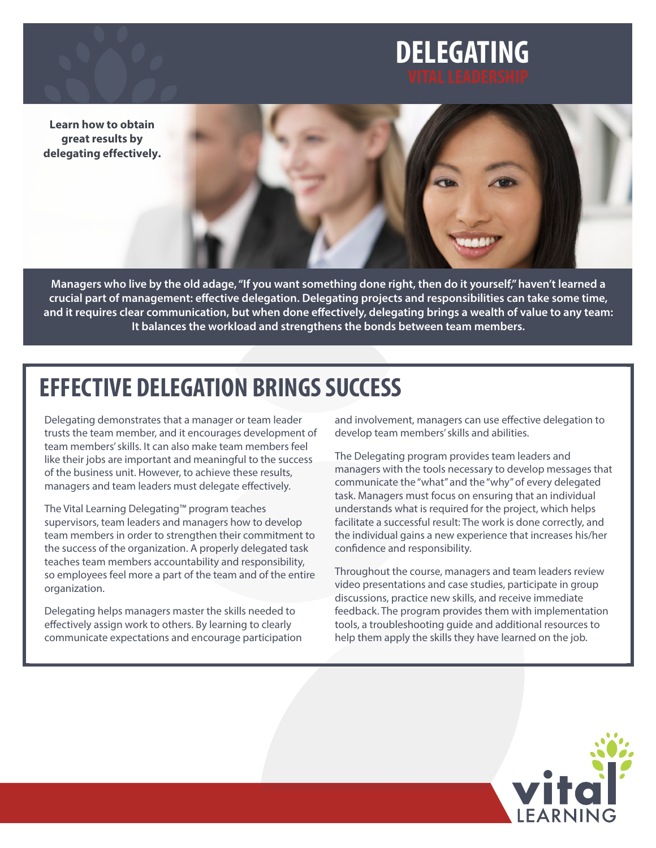# **DELEGATING**

**Learn how to obtain great results by delegating effectively.**



**Managers who live by the old adage, "If you want something done right, then do it yourself," haven't learned a crucial part of management: effective delegation. Delegating projects and responsibilities can take some time, and it requires clear communication, but when done effectively, delegating brings a wealth of value to any team: It balances the workload and strengthens the bonds between team members.**

# **EFFECTIVE DELEGATION BRINGS SUCCESS**

Delegating demonstrates that a manager or team leader trusts the team member, and it encourages development of team members' skills. It can also make team members feel like their jobs are important and meaningful to the success of the business unit. However, to achieve these results, managers and team leaders must delegate effectively.

The Vital Learning Delegating™ program teaches supervisors, team leaders and managers how to develop team members in order to strengthen their commitment to the success of the organization. A properly delegated task teaches team members accountability and responsibility, so employees feel more a part of the team and of the entire organization.

Delegating helps managers master the skills needed to effectively assign work to others. By learning to clearly communicate expectations and encourage participation and involvement, managers can use effective delegation to develop team members' skills and abilities.

The Delegating program provides team leaders and managers with the tools necessary to develop messages that communicate the "what" and the "why" of every delegated task. Managers must focus on ensuring that an individual understands what is required for the project, which helps facilitate a successful result: The work is done correctly, and the individual gains a new experience that increases his/her confidence and responsibility.

Throughout the course, managers and team leaders review video presentations and case studies, participate in group discussions, practice new skills, and receive immediate feedback. The program provides them with implementation tools, a troubleshooting guide and additional resources to help them apply the skills they have learned on the job.